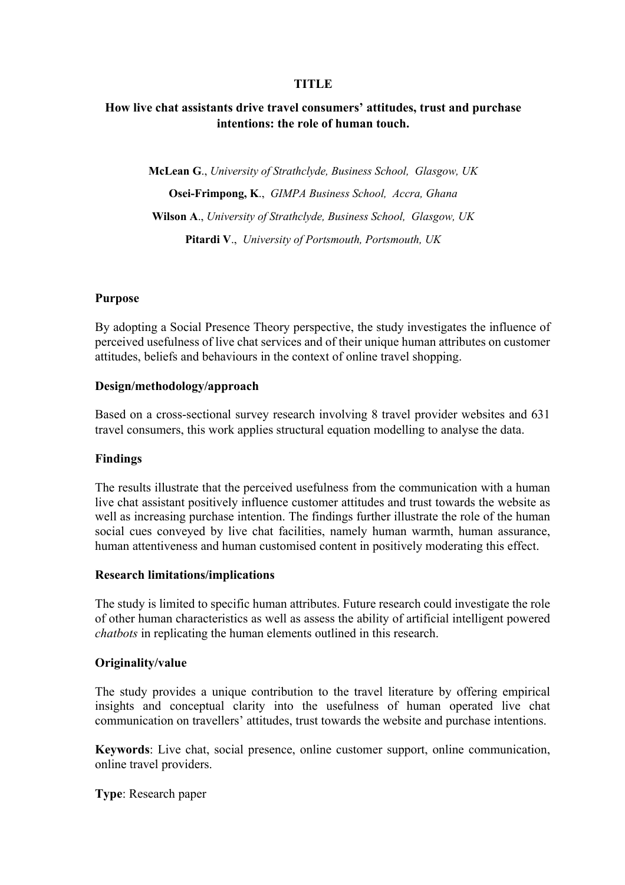### **TITLE**

# **How live chat assistants drive travel consumers' attitudes, trust and purchase intentions: the role of human touch.**

**McLean G**., *University of Strathclyde, Business School, Glasgow, UK*  **Osei-Frimpong, K**., *GIMPA Business School, Accra, Ghana* **Wilson A**., *University of Strathclyde, Business School, Glasgow, UK*  **Pitardi V**., *University of Portsmouth, Portsmouth, UK*

### **Purpose**

By adopting a Social Presence Theory perspective, the study investigates the influence of perceived usefulness of live chat services and of their unique human attributes on customer attitudes, beliefs and behaviours in the context of online travel shopping.

### **Design/methodology/approach**

Based on a cross-sectional survey research involving 8 travel provider websites and 631 travel consumers, this work applies structural equation modelling to analyse the data.

### **Findings**

The results illustrate that the perceived usefulness from the communication with a human live chat assistant positively influence customer attitudes and trust towards the website as well as increasing purchase intention. The findings further illustrate the role of the human social cues conveyed by live chat facilities, namely human warmth, human assurance, human attentiveness and human customised content in positively moderating this effect.

### **Research limitations/implications**

The study is limited to specific human attributes. Future research could investigate the role of other human characteristics as well as assess the ability of artificial intelligent powered *chatbots* in replicating the human elements outlined in this research.

### **Originality/value**

The study provides a unique contribution to the travel literature by offering empirical insights and conceptual clarity into the usefulness of human operated live chat communication on travellers' attitudes, trust towards the website and purchase intentions.

**Keywords**: Live chat, social presence, online customer support, online communication, online travel providers.

**Type**: Research paper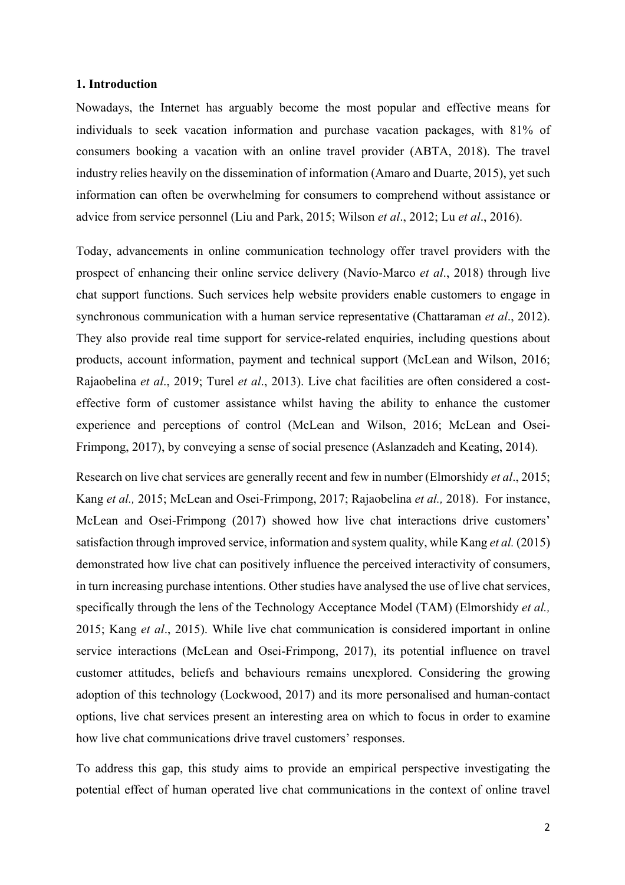### **1. Introduction**

Nowadays, the Internet has arguably become the most popular and effective means for individuals to seek vacation information and purchase vacation packages, with 81% of consumers booking a vacation with an online travel provider (ABTA, 2018). The travel industry relies heavily on the dissemination of information (Amaro and Duarte, 2015), yet such information can often be overwhelming for consumers to comprehend without assistance or advice from service personnel (Liu and Park, 2015; Wilson *et al*., 2012; Lu *et al*., 2016).

Today, advancements in online communication technology offer travel providers with the prospect of enhancing their online service delivery (Navío-Marco *et al*., 2018) through live chat support functions. Such services help website providers enable customers to engage in synchronous communication with a human service representative (Chattaraman *et al*., 2012). They also provide real time support for service-related enquiries, including questions about products, account information, payment and technical support (McLean and Wilson, 2016; Rajaobelina *et al*., 2019; Turel *et al*., 2013). Live chat facilities are often considered a costeffective form of customer assistance whilst having the ability to enhance the customer experience and perceptions of control (McLean and Wilson, 2016; McLean and Osei-Frimpong, 2017), by conveying a sense of social presence (Aslanzadeh and Keating, 2014).

Research on live chat services are generally recent and few in number (Elmorshidy *et al*., 2015; Kang *et al.,* 2015; McLean and Osei-Frimpong, 2017; Rajaobelina *et al.,* 2018). For instance, McLean and Osei-Frimpong (2017) showed how live chat interactions drive customers' satisfaction through improved service, information and system quality, while Kang *et al.* (2015) demonstrated how live chat can positively influence the perceived interactivity of consumers, in turn increasing purchase intentions. Other studies have analysed the use of live chat services, specifically through the lens of the Technology Acceptance Model (TAM) (Elmorshidy *et al.,* 2015; Kang *et al*., 2015). While live chat communication is considered important in online service interactions (McLean and Osei-Frimpong, 2017), its potential influence on travel customer attitudes, beliefs and behaviours remains unexplored. Considering the growing adoption of this technology (Lockwood, 2017) and its more personalised and human-contact options, live chat services present an interesting area on which to focus in order to examine how live chat communications drive travel customers' responses.

To address this gap, this study aims to provide an empirical perspective investigating the potential effect of human operated live chat communications in the context of online travel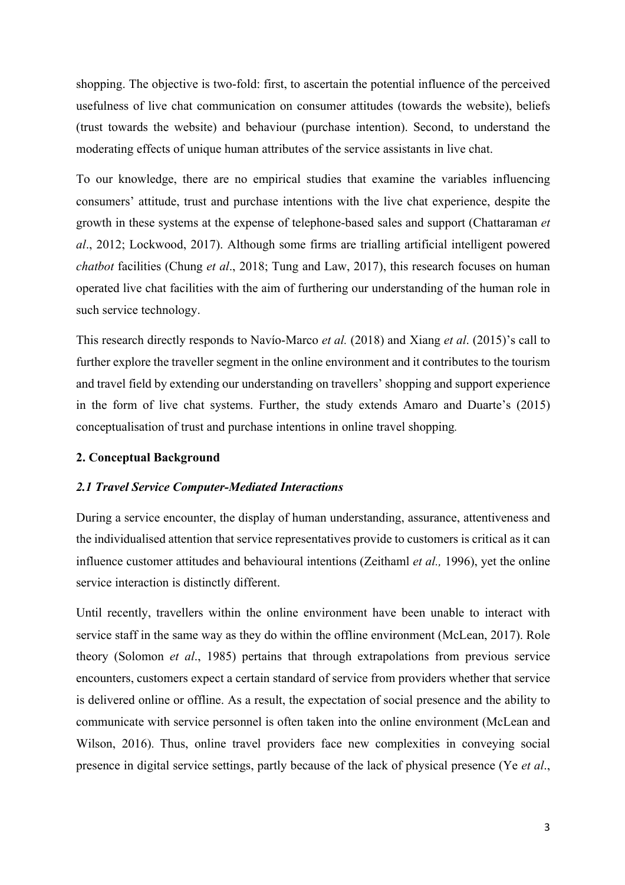shopping. The objective is two-fold: first, to ascertain the potential influence of the perceived usefulness of live chat communication on consumer attitudes (towards the website), beliefs (trust towards the website) and behaviour (purchase intention). Second, to understand the moderating effects of unique human attributes of the service assistants in live chat.

To our knowledge, there are no empirical studies that examine the variables influencing consumers' attitude, trust and purchase intentions with the live chat experience, despite the growth in these systems at the expense of telephone-based sales and support (Chattaraman *et al*., 2012; Lockwood, 2017). Although some firms are trialling artificial intelligent powered *chatbot* facilities (Chung *et al*., 2018; Tung and Law, 2017), this research focuses on human operated live chat facilities with the aim of furthering our understanding of the human role in such service technology.

This research directly responds to Navío-Marco *et al.* (2018) and Xiang *et al*. (2015)'s call to further explore the traveller segment in the online environment and it contributes to the tourism and travel field by extending our understanding on travellers' shopping and support experience in the form of live chat systems. Further, the study extends Amaro and Duarte's (2015) conceptualisation of trust and purchase intentions in online travel shopping*.*

### **2. Conceptual Background**

#### *2.1 Travel Service Computer-Mediated Interactions*

During a service encounter, the display of human understanding, assurance, attentiveness and the individualised attention that service representatives provide to customers is critical as it can influence customer attitudes and behavioural intentions (Zeithaml *et al.,* 1996), yet the online service interaction is distinctly different.

Until recently, travellers within the online environment have been unable to interact with service staff in the same way as they do within the offline environment (McLean, 2017). Role theory (Solomon *et al*., 1985) pertains that through extrapolations from previous service encounters, customers expect a certain standard of service from providers whether that service is delivered online or offline. As a result, the expectation of social presence and the ability to communicate with service personnel is often taken into the online environment (McLean and Wilson, 2016). Thus, online travel providers face new complexities in conveying social presence in digital service settings, partly because of the lack of physical presence (Ye *et al*.,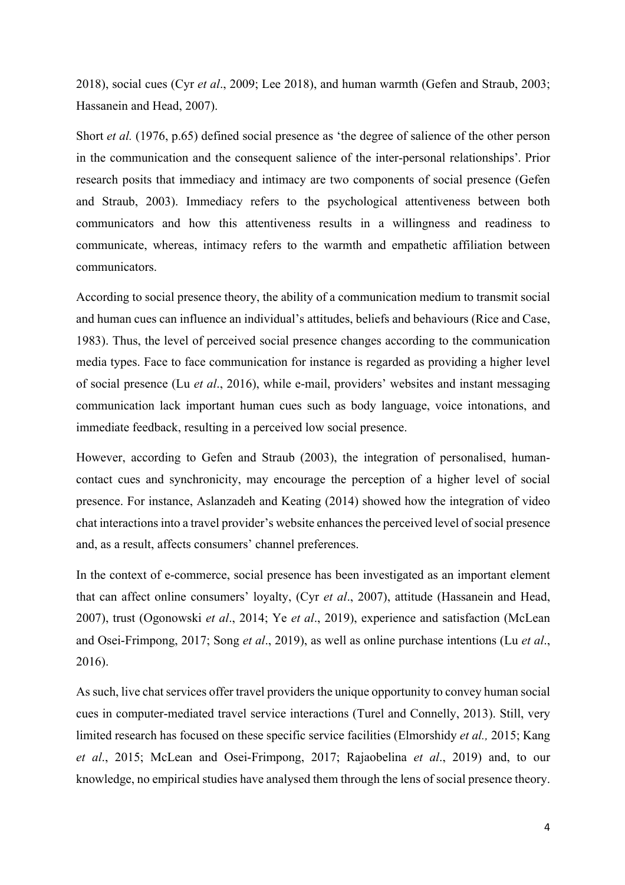2018), social cues (Cyr *et al*., 2009; Lee 2018), and human warmth (Gefen and Straub, 2003; Hassanein and Head, 2007).

Short *et al.* (1976, p.65) defined social presence as 'the degree of salience of the other person in the communication and the consequent salience of the inter-personal relationships'*.* Prior research posits that immediacy and intimacy are two components of social presence (Gefen and Straub, 2003). Immediacy refers to the psychological attentiveness between both communicators and how this attentiveness results in a willingness and readiness to communicate, whereas, intimacy refers to the warmth and empathetic affiliation between communicators.

According to social presence theory, the ability of a communication medium to transmit social and human cues can influence an individual's attitudes, beliefs and behaviours (Rice and Case, 1983). Thus, the level of perceived social presence changes according to the communication media types. Face to face communication for instance is regarded as providing a higher level of social presence (Lu *et al*., 2016), while e-mail, providers' websites and instant messaging communication lack important human cues such as body language, voice intonations, and immediate feedback, resulting in a perceived low social presence.

However, according to Gefen and Straub (2003), the integration of personalised, humancontact cues and synchronicity, may encourage the perception of a higher level of social presence. For instance, Aslanzadeh and Keating (2014) showed how the integration of video chat interactions into a travel provider's website enhances the perceived level of social presence and, as a result, affects consumers' channel preferences.

In the context of e-commerce, social presence has been investigated as an important element that can affect online consumers' loyalty, (Cyr *et al*., 2007), attitude (Hassanein and Head, 2007), trust (Ogonowski *et al*., 2014; Ye *et al*., 2019), experience and satisfaction (McLean and Osei-Frimpong, 2017; Song *et al*., 2019), as well as online purchase intentions (Lu *et al*., 2016).

As such, live chat services offer travel providers the unique opportunity to convey human social cues in computer-mediated travel service interactions (Turel and Connelly, 2013). Still, very limited research has focused on these specific service facilities (Elmorshidy *et al.,* 2015; Kang *et al*., 2015; McLean and Osei-Frimpong, 2017; Rajaobelina *et al*., 2019) and, to our knowledge, no empirical studies have analysed them through the lens of social presence theory.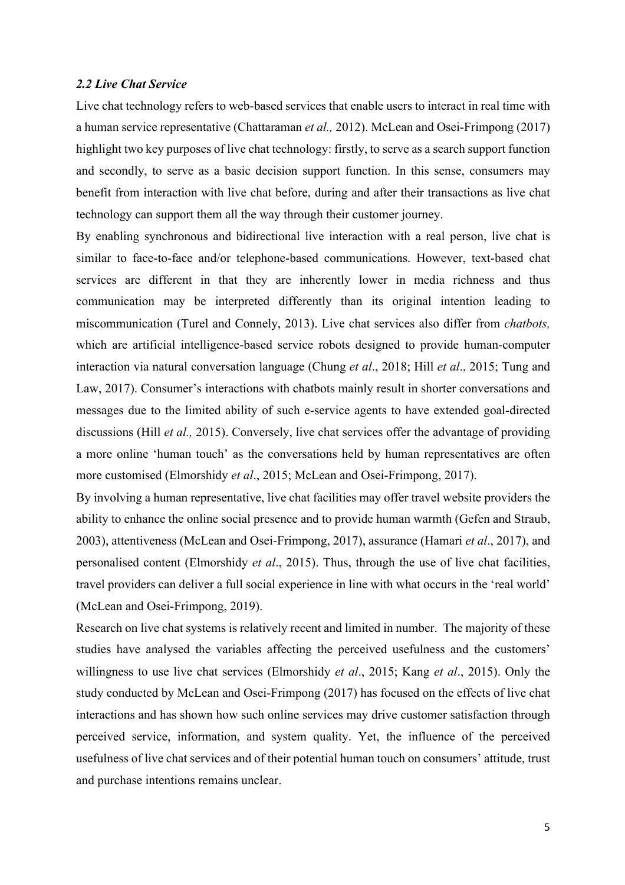### *2.2 Live Chat Service*

Live chat technology refers to web-based services that enable users to interact in real time with a human service representative (Chattaraman *et al.,* 2012). McLean and Osei-Frimpong (2017) highlight two key purposes of live chat technology: firstly, to serve as a search support function and secondly, to serve as a basic decision support function. In this sense, consumers may benefit from interaction with live chat before, during and after their transactions as live chat technology can support them all the way through their customer journey.

By enabling synchronous and bidirectional live interaction with a real person, live chat is similar to face-to-face and/or telephone-based communications. However, text-based chat services are different in that they are inherently lower in media richness and thus communication may be interpreted differently than its original intention leading to miscommunication (Turel and Connely, 2013). Live chat services also differ from *chatbots,* which are artificial intelligence-based service robots designed to provide human-computer interaction via natural conversation language (Chung *et al*., 2018; Hill *et al*., 2015; Tung and Law, 2017). Consumer's interactions with chatbots mainly result in shorter conversations and messages due to the limited ability of such e-service agents to have extended goal-directed discussions (Hill *et al.,* 2015). Conversely, live chat services offer the advantage of providing a more online 'human touch' as the conversations held by human representatives are often more customised (Elmorshidy *et al*., 2015; McLean and Osei-Frimpong, 2017).

By involving a human representative, live chat facilities may offer travel website providers the ability to enhance the online social presence and to provide human warmth (Gefen and Straub, 2003), attentiveness (McLean and Osei-Frimpong, 2017), assurance (Hamari *et al*., 2017), and personalised content (Elmorshidy *et al*., 2015). Thus, through the use of live chat facilities, travel providers can deliver a full social experience in line with what occurs in the 'real world' (McLean and Osei-Frimpong, 2019).

Research on live chat systems is relatively recent and limited in number. The majority of these studies have analysed the variables affecting the perceived usefulness and the customers' willingness to use live chat services (Elmorshidy *et al*., 2015; Kang *et al*., 2015). Only the study conducted by McLean and Osei-Frimpong (2017) has focused on the effects of live chat interactions and has shown how such online services may drive customer satisfaction through perceived service, information, and system quality. Yet, the influence of the perceived usefulness of live chat services and of their potential human touch on consumers' attitude, trust and purchase intentions remains unclear.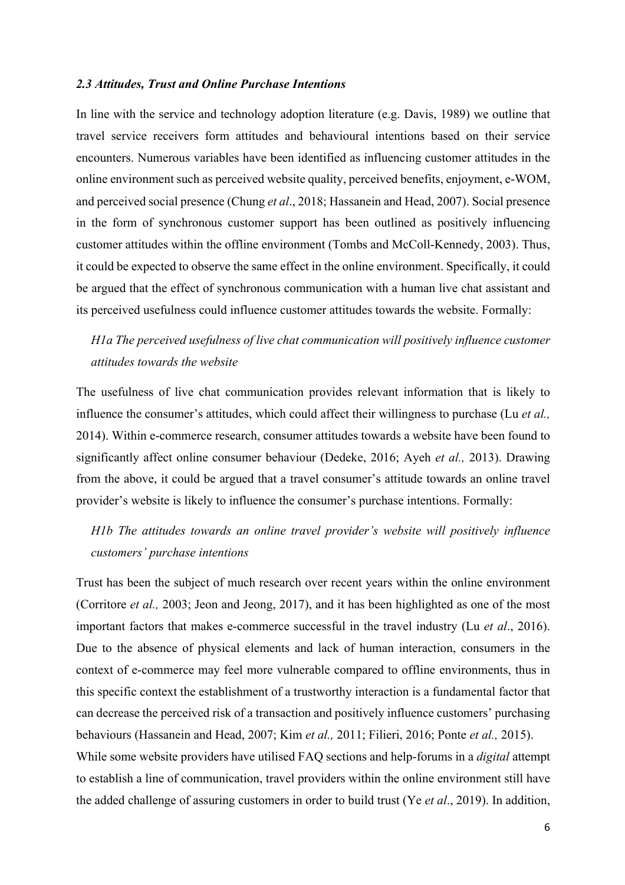### *2.3 Attitudes, Trust and Online Purchase Intentions*

In line with the service and technology adoption literature (e.g. Davis, 1989) we outline that travel service receivers form attitudes and behavioural intentions based on their service encounters. Numerous variables have been identified as influencing customer attitudes in the online environment such as perceived website quality, perceived benefits, enjoyment, e-WOM, and perceived social presence (Chung *et al*., 2018; Hassanein and Head, 2007). Social presence in the form of synchronous customer support has been outlined as positively influencing customer attitudes within the offline environment (Tombs and McColl-Kennedy, 2003). Thus, it could be expected to observe the same effect in the online environment. Specifically, it could be argued that the effect of synchronous communication with a human live chat assistant and its perceived usefulness could influence customer attitudes towards the website. Formally:

*H1a The perceived usefulness of live chat communication will positively influence customer attitudes towards the website*

The usefulness of live chat communication provides relevant information that is likely to influence the consumer's attitudes, which could affect their willingness to purchase (Lu *et al.,* 2014). Within e-commerce research, consumer attitudes towards a website have been found to significantly affect online consumer behaviour (Dedeke, 2016; Ayeh *et al.,* 2013). Drawing from the above, it could be argued that a travel consumer's attitude towards an online travel provider's website is likely to influence the consumer's purchase intentions. Formally:

# *H1b The attitudes towards an online travel provider's website will positively influence customers' purchase intentions*

Trust has been the subject of much research over recent years within the online environment (Corritore *et al.,* 2003; Jeon and Jeong, 2017), and it has been highlighted as one of the most important factors that makes e-commerce successful in the travel industry (Lu *et al*., 2016). Due to the absence of physical elements and lack of human interaction, consumers in the context of e-commerce may feel more vulnerable compared to offline environments, thus in this specific context the establishment of a trustworthy interaction is a fundamental factor that can decrease the perceived risk of a transaction and positively influence customers' purchasing behaviours (Hassanein and Head, 2007; Kim *et al.,* 2011; Filieri, 2016; Ponte *et al.,* 2015). While some website providers have utilised FAQ sections and help-forums in a *digital* attempt to establish a line of communication, travel providers within the online environment still have the added challenge of assuring customers in order to build trust (Ye *et al*., 2019). In addition,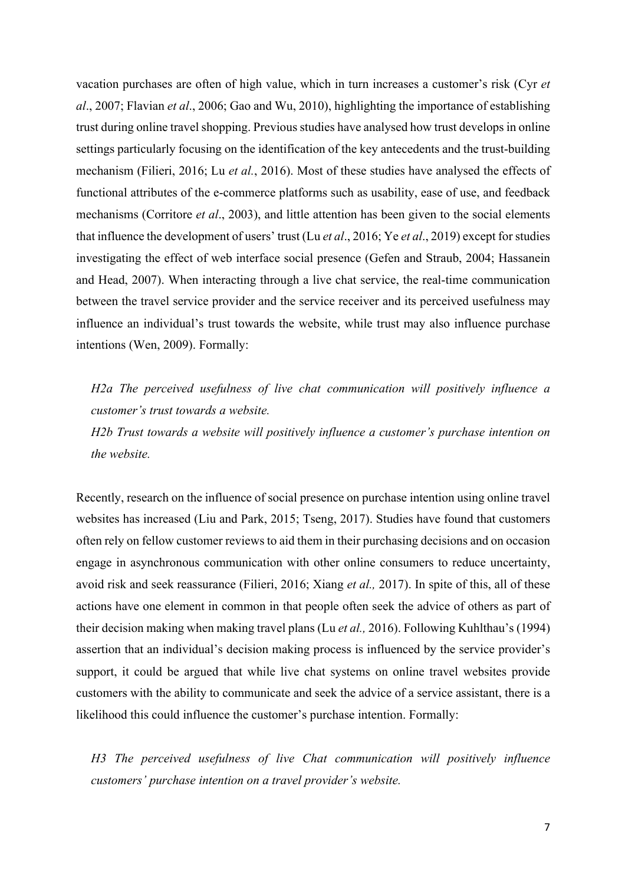vacation purchases are often of high value, which in turn increases a customer's risk (Cyr *et al*., 2007; Flavian *et al*., 2006; Gao and Wu, 2010), highlighting the importance of establishing trust during online travel shopping. Previous studies have analysed how trust develops in online settings particularly focusing on the identification of the key antecedents and the trust-building mechanism (Filieri, 2016; Lu *et al.*, 2016). Most of these studies have analysed the effects of functional attributes of the e-commerce platforms such as usability, ease of use, and feedback mechanisms (Corritore *et al*., 2003), and little attention has been given to the social elements that influence the development of users' trust (Lu *et al*., 2016; Ye *et al*., 2019) except for studies investigating the effect of web interface social presence (Gefen and Straub, 2004; Hassanein and Head, 2007). When interacting through a live chat service, the real-time communication between the travel service provider and the service receiver and its perceived usefulness may influence an individual's trust towards the website, while trust may also influence purchase intentions (Wen, 2009). Formally:

*H2a The perceived usefulness of live chat communication will positively influence a customer's trust towards a website.*

*H2b Trust towards a website will positively influence a customer's purchase intention on the website.*

Recently, research on the influence of social presence on purchase intention using online travel websites has increased (Liu and Park, 2015; Tseng, 2017). Studies have found that customers often rely on fellow customer reviews to aid them in their purchasing decisions and on occasion engage in asynchronous communication with other online consumers to reduce uncertainty, avoid risk and seek reassurance (Filieri, 2016; Xiang *et al.,* 2017). In spite of this, all of these actions have one element in common in that people often seek the advice of others as part of their decision making when making travel plans (Lu *et al.,* 2016). Following Kuhlthau's (1994) assertion that an individual's decision making process is influenced by the service provider's support, it could be argued that while live chat systems on online travel websites provide customers with the ability to communicate and seek the advice of a service assistant, there is a likelihood this could influence the customer's purchase intention. Formally:

*H3 The perceived usefulness of live Chat communication will positively influence customers' purchase intention on a travel provider's website.*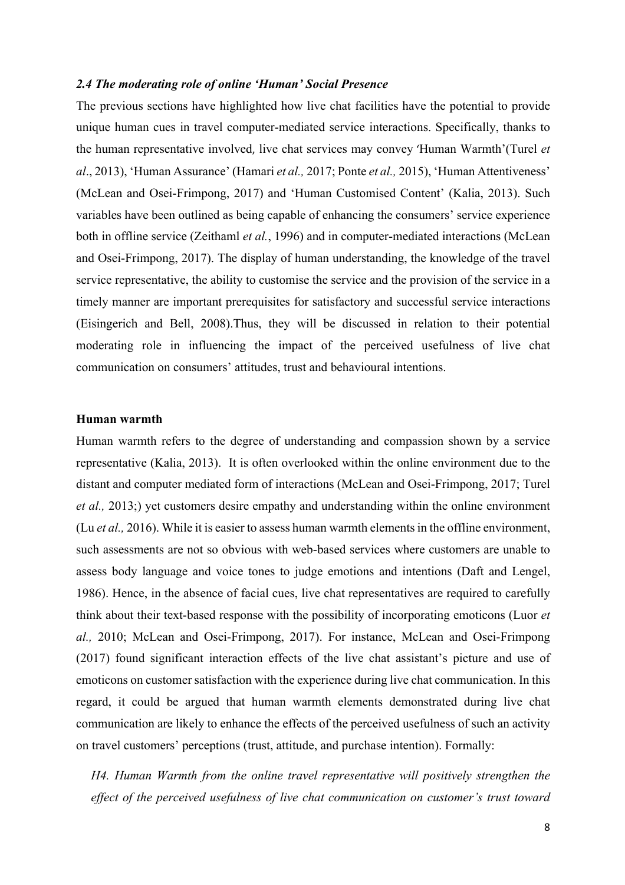### *2.4 The moderating role of online 'Human' Social Presence*

The previous sections have highlighted how live chat facilities have the potential to provide unique human cues in travel computer-mediated service interactions. Specifically, thanks to the human representative involved, live chat services may convey 'Human Warmth'(Turel *et al*., 2013), 'Human Assurance' (Hamari *et al.,* 2017; Ponte *et al.,* 2015), 'Human Attentiveness' (McLean and Osei-Frimpong, 2017) and 'Human Customised Content' (Kalia, 2013). Such variables have been outlined as being capable of enhancing the consumers' service experience both in offline service (Zeithaml *et al.*, 1996) and in computer-mediated interactions (McLean and Osei-Frimpong, 2017). The display of human understanding, the knowledge of the travel service representative, the ability to customise the service and the provision of the service in a timely manner are important prerequisites for satisfactory and successful service interactions (Eisingerich and Bell, 2008).Thus, they will be discussed in relation to their potential moderating role in influencing the impact of the perceived usefulness of live chat communication on consumers' attitudes, trust and behavioural intentions.

#### **Human warmth**

Human warmth refers to the degree of understanding and compassion shown by a service representative (Kalia, 2013). It is often overlooked within the online environment due to the distant and computer mediated form of interactions (McLean and Osei-Frimpong, 2017; Turel *et al.,* 2013;) yet customers desire empathy and understanding within the online environment (Lu *et al.,* 2016). While it is easier to assess human warmth elements in the offline environment, such assessments are not so obvious with web-based services where customers are unable to assess body language and voice tones to judge emotions and intentions (Daft and Lengel, 1986). Hence, in the absence of facial cues, live chat representatives are required to carefully think about their text-based response with the possibility of incorporating emoticons (Luor *et al.,* 2010; McLean and Osei-Frimpong, 2017). For instance, McLean and Osei-Frimpong (2017) found significant interaction effects of the live chat assistant's picture and use of emoticons on customer satisfaction with the experience during live chat communication. In this regard, it could be argued that human warmth elements demonstrated during live chat communication are likely to enhance the effects of the perceived usefulness of such an activity on travel customers' perceptions (trust, attitude, and purchase intention). Formally:

*H4. Human Warmth from the online travel representative will positively strengthen the effect of the perceived usefulness of live chat communication on customer's trust toward*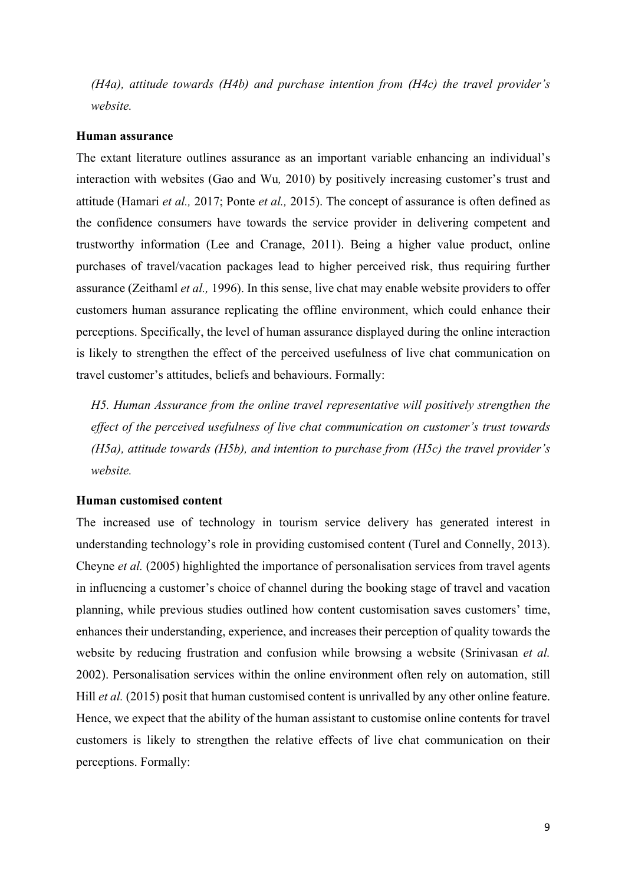*(H4a), attitude towards (H4b) and purchase intention from (H4c) the travel provider's website.* 

### **Human assurance**

The extant literature outlines assurance as an important variable enhancing an individual's interaction with websites (Gao and Wu*,* 2010) by positively increasing customer's trust and attitude (Hamari *et al.,* 2017; Ponte *et al.,* 2015). The concept of assurance is often defined as the confidence consumers have towards the service provider in delivering competent and trustworthy information (Lee and Cranage, 2011). Being a higher value product, online purchases of travel/vacation packages lead to higher perceived risk, thus requiring further assurance (Zeithaml *et al.,* 1996). In this sense, live chat may enable website providers to offer customers human assurance replicating the offline environment, which could enhance their perceptions. Specifically, the level of human assurance displayed during the online interaction is likely to strengthen the effect of the perceived usefulness of live chat communication on travel customer's attitudes, beliefs and behaviours. Formally:

*H5. Human Assurance from the online travel representative will positively strengthen the effect of the perceived usefulness of live chat communication on customer's trust towards (H5a), attitude towards (H5b), and intention to purchase from (H5c) the travel provider's website.* 

### **Human customised content**

The increased use of technology in tourism service delivery has generated interest in understanding technology's role in providing customised content (Turel and Connelly, 2013). Cheyne *et al.* (2005) highlighted the importance of personalisation services from travel agents in influencing a customer's choice of channel during the booking stage of travel and vacation planning, while previous studies outlined how content customisation saves customers' time, enhances their understanding, experience, and increases their perception of quality towards the website by reducing frustration and confusion while browsing a website (Srinivasan *et al.* 2002). Personalisation services within the online environment often rely on automation, still Hill *et al.* (2015) posit that human customised content is unrivalled by any other online feature. Hence, we expect that the ability of the human assistant to customise online contents for travel customers is likely to strengthen the relative effects of live chat communication on their perceptions. Formally: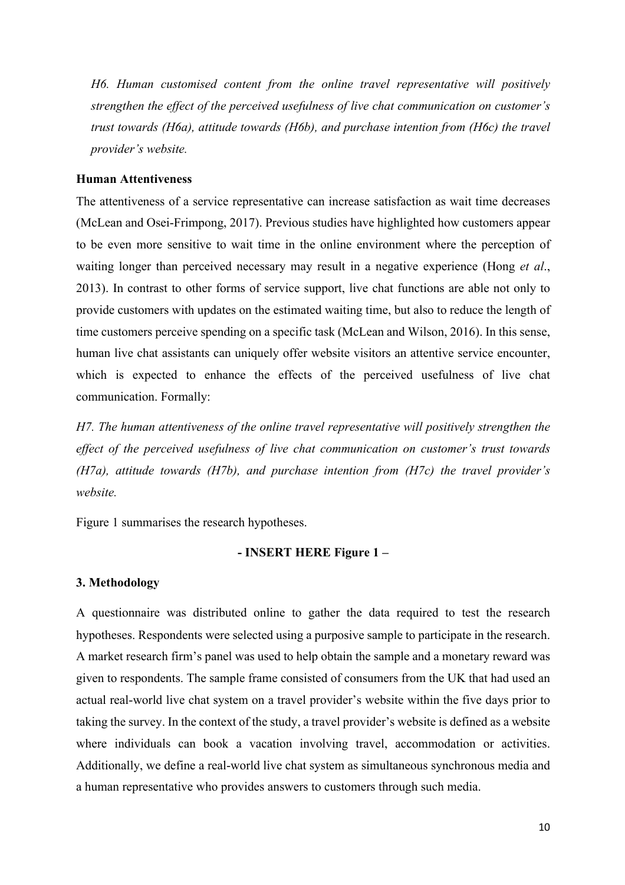*H6. Human customised content from the online travel representative will positively strengthen the effect of the perceived usefulness of live chat communication on customer's trust towards (H6a), attitude towards (H6b), and purchase intention from (H6c) the travel provider's website.* 

### **Human Attentiveness**

The attentiveness of a service representative can increase satisfaction as wait time decreases (McLean and Osei-Frimpong, 2017). Previous studies have highlighted how customers appear to be even more sensitive to wait time in the online environment where the perception of waiting longer than perceived necessary may result in a negative experience (Hong *et al*., 2013). In contrast to other forms of service support, live chat functions are able not only to provide customers with updates on the estimated waiting time, but also to reduce the length of time customers perceive spending on a specific task (McLean and Wilson, 2016). In this sense, human live chat assistants can uniquely offer website visitors an attentive service encounter, which is expected to enhance the effects of the perceived usefulness of live chat communication. Formally:

*H7. The human attentiveness of the online travel representative will positively strengthen the effect of the perceived usefulness of live chat communication on customer's trust towards (H7a), attitude towards (H7b), and purchase intention from (H7c) the travel provider's website.* 

Figure 1 summarises the research hypotheses.

### **- INSERT HERE Figure 1 –**

#### **3. Methodology**

A questionnaire was distributed online to gather the data required to test the research hypotheses. Respondents were selected using a purposive sample to participate in the research. A market research firm's panel was used to help obtain the sample and a monetary reward was given to respondents. The sample frame consisted of consumers from the UK that had used an actual real-world live chat system on a travel provider's website within the five days prior to taking the survey. In the context of the study, a travel provider's website is defined as a website where individuals can book a vacation involving travel, accommodation or activities. Additionally, we define a real-world live chat system as simultaneous synchronous media and a human representative who provides answers to customers through such media.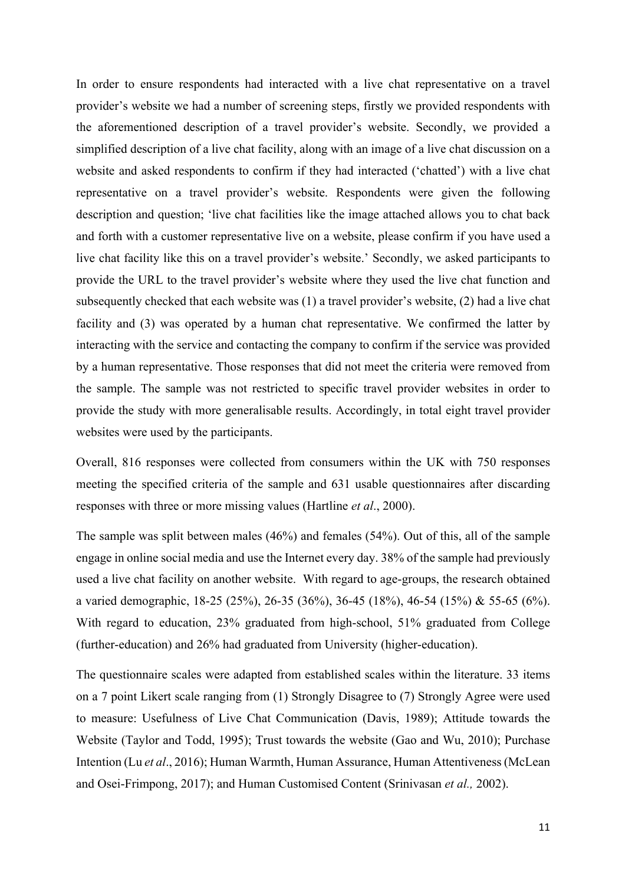In order to ensure respondents had interacted with a live chat representative on a travel provider's website we had a number of screening steps, firstly we provided respondents with the aforementioned description of a travel provider's website. Secondly, we provided a simplified description of a live chat facility, along with an image of a live chat discussion on a website and asked respondents to confirm if they had interacted ('chatted') with a live chat representative on a travel provider's website. Respondents were given the following description and question; 'live chat facilities like the image attached allows you to chat back and forth with a customer representative live on a website, please confirm if you have used a live chat facility like this on a travel provider's website.' Secondly, we asked participants to provide the URL to the travel provider's website where they used the live chat function and subsequently checked that each website was (1) a travel provider's website, (2) had a live chat facility and (3) was operated by a human chat representative. We confirmed the latter by interacting with the service and contacting the company to confirm if the service was provided by a human representative. Those responses that did not meet the criteria were removed from the sample. The sample was not restricted to specific travel provider websites in order to provide the study with more generalisable results. Accordingly, in total eight travel provider websites were used by the participants.

Overall, 816 responses were collected from consumers within the UK with 750 responses meeting the specified criteria of the sample and 631 usable questionnaires after discarding responses with three or more missing values (Hartline *et al*., 2000).

The sample was split between males (46%) and females (54%). Out of this, all of the sample engage in online social media and use the Internet every day. 38% of the sample had previously used a live chat facility on another website. With regard to age-groups, the research obtained a varied demographic, 18-25 (25%), 26-35 (36%), 36-45 (18%), 46-54 (15%) & 55-65 (6%). With regard to education, 23% graduated from high-school, 51% graduated from College (further-education) and 26% had graduated from University (higher-education).

The questionnaire scales were adapted from established scales within the literature. 33 items on a 7 point Likert scale ranging from (1) Strongly Disagree to (7) Strongly Agree were used to measure: Usefulness of Live Chat Communication (Davis, 1989); Attitude towards the Website (Taylor and Todd, 1995); Trust towards the website (Gao and Wu, 2010); Purchase Intention (Lu *et al*., 2016); Human Warmth, Human Assurance, Human Attentiveness (McLean and Osei-Frimpong, 2017); and Human Customised Content (Srinivasan *et al.,* 2002).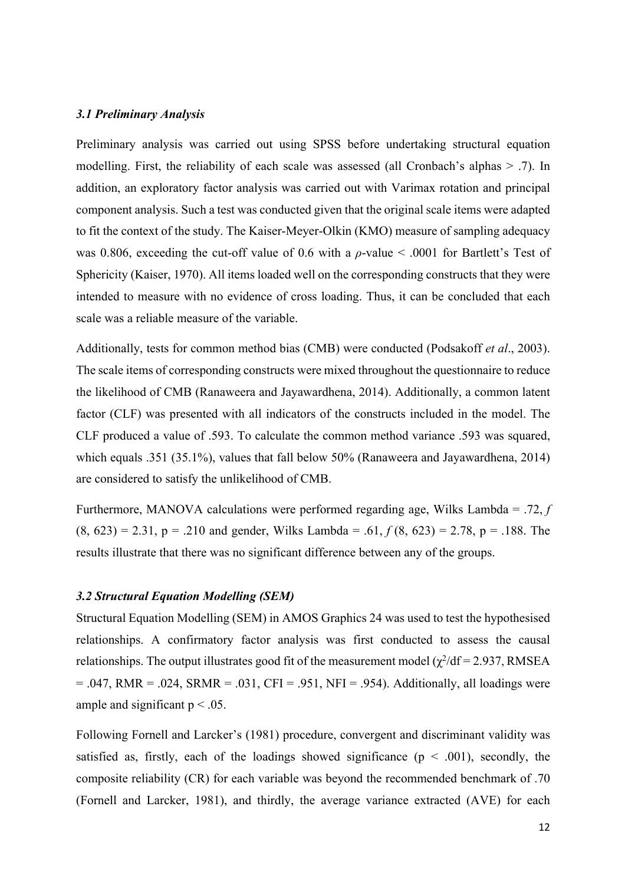### *3.1 Preliminary Analysis*

Preliminary analysis was carried out using SPSS before undertaking structural equation modelling. First, the reliability of each scale was assessed (all Cronbach's alphas > .7). In addition, an exploratory factor analysis was carried out with Varimax rotation and principal component analysis. Such a test was conducted given that the original scale items were adapted to fit the context of the study. The Kaiser-Meyer-Olkin (KMO) measure of sampling adequacy was 0.806, exceeding the cut-off value of 0.6 with a *ρ*-value < .0001 for Bartlett's Test of Sphericity (Kaiser, 1970). All items loaded well on the corresponding constructs that they were intended to measure with no evidence of cross loading. Thus, it can be concluded that each scale was a reliable measure of the variable.

Additionally, tests for common method bias (CMB) were conducted (Podsakoff *et al*., 2003). The scale items of corresponding constructs were mixed throughout the questionnaire to reduce the likelihood of CMB (Ranaweera and Jayawardhena, 2014). Additionally, a common latent factor (CLF) was presented with all indicators of the constructs included in the model. The CLF produced a value of .593. To calculate the common method variance .593 was squared, which equals .351 (35.1%), values that fall below 50% (Ranaweera and Jayawardhena, 2014) are considered to satisfy the unlikelihood of CMB.

Furthermore, MANOVA calculations were performed regarding age, Wilks Lambda = .72, *f*   $(8, 623) = 2.31$ ,  $p = .210$  and gender, Wilks Lambda = .61,  $f(8, 623) = 2.78$ ,  $p = .188$ . The results illustrate that there was no significant difference between any of the groups.

### *3.2 Structural Equation Modelling (SEM)*

Structural Equation Modelling (SEM) in AMOS Graphics 24 was used to test the hypothesised relationships. A confirmatory factor analysis was first conducted to assess the causal relationships. The output illustrates good fit of the measurement model  $(\chi^2/df = 2.937, RMSEA)$  $= .047$ , RMR  $= .024$ , SRMR  $= .031$ , CFI  $= .951$ , NFI  $= .954$ ). Additionally, all loadings were ample and significant  $p < .05$ .

Following Fornell and Larcker's (1981) procedure, convergent and discriminant validity was satisfied as, firstly, each of the loadings showed significance ( $p \le 0.001$ ), secondly, the composite reliability (CR) for each variable was beyond the recommended benchmark of .70 (Fornell and Larcker, 1981), and thirdly, the average variance extracted (AVE) for each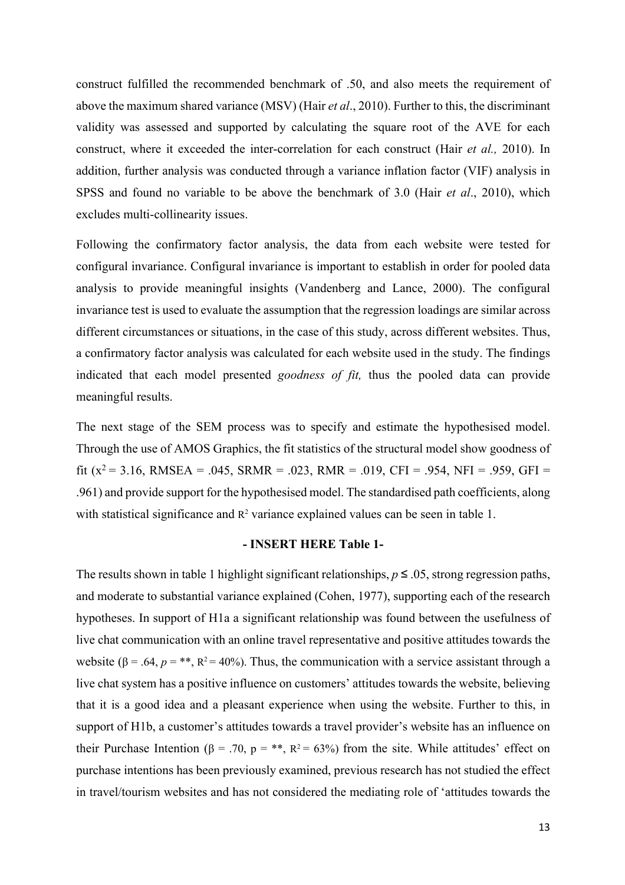construct fulfilled the recommended benchmark of .50, and also meets the requirement of above the maximum shared variance (MSV) (Hair *et al*., 2010). Further to this, the discriminant validity was assessed and supported by calculating the square root of the AVE for each construct, where it exceeded the inter-correlation for each construct (Hair *et al.,* 2010). In addition, further analysis was conducted through a variance inflation factor (VIF) analysis in SPSS and found no variable to be above the benchmark of 3.0 (Hair *et al*., 2010), which excludes multi-collinearity issues.

Following the confirmatory factor analysis, the data from each website were tested for configural invariance. Configural invariance is important to establish in order for pooled data analysis to provide meaningful insights (Vandenberg and Lance, 2000). The configural invariance test is used to evaluate the assumption that the regression loadings are similar across different circumstances or situations, in the case of this study, across different websites. Thus, a confirmatory factor analysis was calculated for each website used in the study. The findings indicated that each model presented *goodness of fit,* thus the pooled data can provide meaningful results.

The next stage of the SEM process was to specify and estimate the hypothesised model. Through the use of AMOS Graphics, the fit statistics of the structural model show goodness of fit ( $x^2$  = 3.16, RMSEA = .045, SRMR = .023, RMR = .019, CFI = .954, NFI = .959, GFI = .961) and provide support for the hypothesised model. The standardised path coefficients, along with statistical significance and  $R^2$  variance explained values can be seen in table 1.

#### **- INSERT HERE Table 1-**

The results shown in table 1 highlight significant relationships,  $p \le 0.05$ , strong regression paths, and moderate to substantial variance explained (Cohen, 1977), supporting each of the research hypotheses. In support of H1a a significant relationship was found between the usefulness of live chat communication with an online travel representative and positive attitudes towards the website ( $\beta$  = .64,  $p = **$ ,  $\beta$ <sup>2</sup> = 40%). Thus, the communication with a service assistant through a live chat system has a positive influence on customers' attitudes towards the website, believing that it is a good idea and a pleasant experience when using the website. Further to this, in support of H1b, a customer's attitudes towards a travel provider's website has an influence on their Purchase Intention ( $\beta$  = .70,  $p = **$ ,  $R^2 = 63\%$ ) from the site. While attitudes' effect on purchase intentions has been previously examined, previous research has not studied the effect in travel/tourism websites and has not considered the mediating role of 'attitudes towards the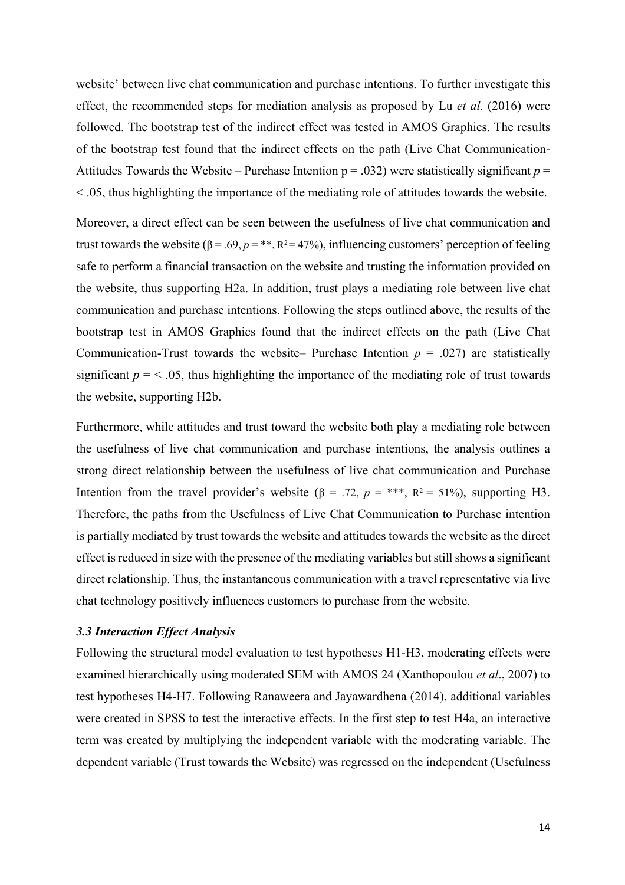website' between live chat communication and purchase intentions. To further investigate this effect, the recommended steps for mediation analysis as proposed by Lu *et al.* (2016) were followed. The bootstrap test of the indirect effect was tested in AMOS Graphics. The results of the bootstrap test found that the indirect effects on the path (Live Chat Communication-Attitudes Towards the Website – Purchase Intention  $p = .032$ ) were statistically significant  $p =$ < .05, thus highlighting the importance of the mediating role of attitudes towards the website.

Moreover, a direct effect can be seen between the usefulness of live chat communication and trust towards the website ( $\beta = .69$ ,  $p = **$ ,  $R^2 = 47\%$ ), influencing customers' perception of feeling safe to perform a financial transaction on the website and trusting the information provided on the website, thus supporting H2a. In addition, trust plays a mediating role between live chat communication and purchase intentions. Following the steps outlined above, the results of the bootstrap test in AMOS Graphics found that the indirect effects on the path (Live Chat Communication-Trust towards the website– Purchase Intention  $p = .027$  are statistically significant  $p = 5.05$ , thus highlighting the importance of the mediating role of trust towards the website, supporting H2b.

Furthermore, while attitudes and trust toward the website both play a mediating role between the usefulness of live chat communication and purchase intentions, the analysis outlines a strong direct relationship between the usefulness of live chat communication and Purchase Intention from the travel provider's website ( $\beta$  = .72,  $p =$ \*\*\*, R<sup>2</sup> = 51%), supporting H3. Therefore, the paths from the Usefulness of Live Chat Communication to Purchase intention is partially mediated by trust towards the website and attitudes towards the website as the direct effect is reduced in size with the presence of the mediating variables but still shows a significant direct relationship. Thus, the instantaneous communication with a travel representative via live chat technology positively influences customers to purchase from the website.

### *3.3 Interaction Effect Analysis*

Following the structural model evaluation to test hypotheses H1-H3, moderating effects were examined hierarchically using moderated SEM with AMOS 24 (Xanthopoulou *et al*., 2007) to test hypotheses H4-H7. Following Ranaweera and Jayawardhena (2014), additional variables were created in SPSS to test the interactive effects. In the first step to test H4a, an interactive term was created by multiplying the independent variable with the moderating variable. The dependent variable (Trust towards the Website) was regressed on the independent (Usefulness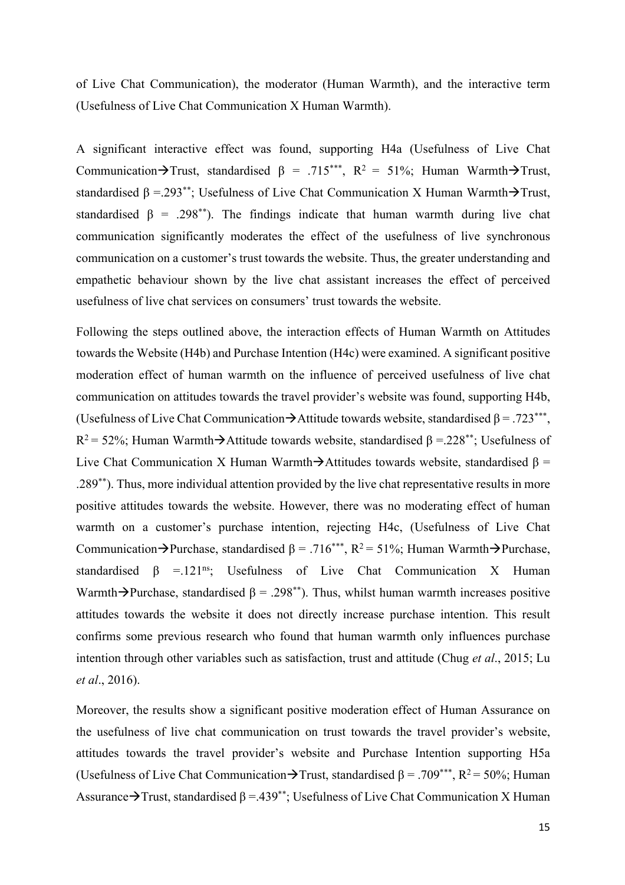of Live Chat Communication), the moderator (Human Warmth), and the interactive term (Usefulness of Live Chat Communication X Human Warmth).

A significant interactive effect was found, supporting H4a (Usefulness of Live Chat Communication $\rightarrow$ Trust, standardised  $\beta$  = .715\*\*\*, R<sup>2</sup> = 51%; Human Warmth $\rightarrow$ Trust, standardised  $\beta = 0.293^{**}$ ; Usefulness of Live Chat Communication X Human Warmth $\rightarrow$ Trust, standardised  $\beta$  = .298<sup>\*\*</sup>). The findings indicate that human warmth during live chat communication significantly moderates the effect of the usefulness of live synchronous communication on a customer's trust towards the website. Thus, the greater understanding and empathetic behaviour shown by the live chat assistant increases the effect of perceived usefulness of live chat services on consumers' trust towards the website.

Following the steps outlined above, the interaction effects of Human Warmth on Attitudes towards the Website (H4b) and Purchase Intention (H4c) were examined. A significant positive moderation effect of human warmth on the influence of perceived usefulness of live chat communication on attitudes towards the travel provider's website was found, supporting H4b, (Usefulness of Live Chat Communication  $\rightarrow$  Attitude towards website, standardised β = .723\*\*\*,  $R^2$  = 52%; Human Warmth $\rightarrow$  Attitude towards website, standardised β =.228<sup>\*\*</sup>; Usefulness of Live Chat Communication X Human Warmth $\rightarrow$ Attitudes towards website, standardised β = .289\*\*). Thus, more individual attention provided by the live chat representative results in more positive attitudes towards the website. However, there was no moderating effect of human warmth on a customer's purchase intention, rejecting H4c, (Usefulness of Live Chat Communication $\rightarrow$ Purchase, standardised β = .716\*\*\*, R<sup>2</sup> = 51%; Human Warmth $\rightarrow$ Purchase, standardised  $\beta$  =.121<sup>ns</sup>; Usefulness of Live Chat Communication X Human Warmth $\rightarrow$ Purchase, standardised β = .298\*\*). Thus, whilst human warmth increases positive attitudes towards the website it does not directly increase purchase intention. This result confirms some previous research who found that human warmth only influences purchase intention through other variables such as satisfaction, trust and attitude (Chug *et al*., 2015; Lu *et al*., 2016).

Moreover, the results show a significant positive moderation effect of Human Assurance on the usefulness of live chat communication on trust towards the travel provider's website, attitudes towards the travel provider's website and Purchase Intention supporting H5a (Usefulness of Live Chat Communication $\rightarrow$ Trust, standardised β = .709\*\*\*, R<sup>2</sup> = 50%; Human Assurance  $\rightarrow$  Trust, standardised β =.439<sup>\*\*</sup>; Usefulness of Live Chat Communication X Human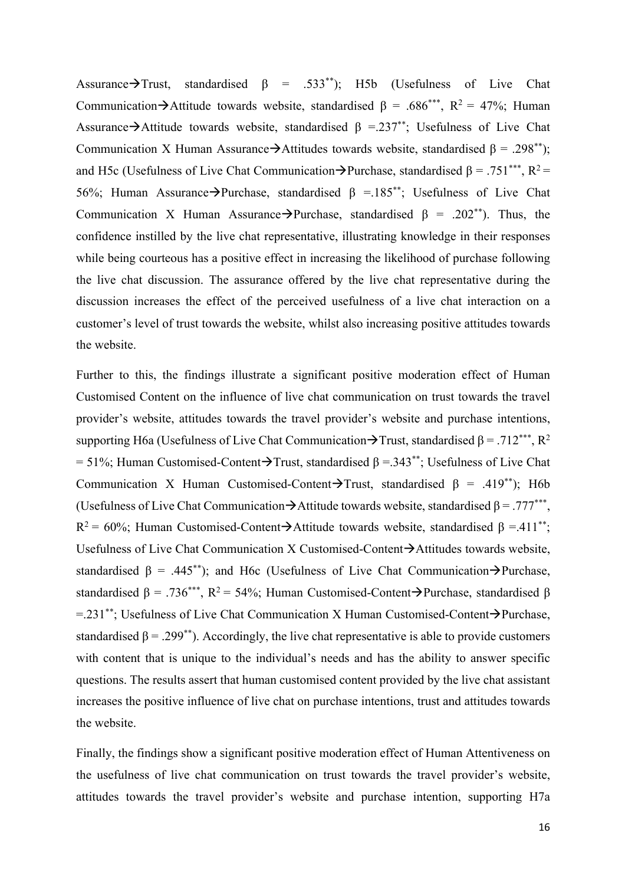Assurance $\rightarrow$ Trust, standardised  $\beta$  = .533\*\*); H5b (Usefulness of Live Chat Communication $\rightarrow$ Attitude towards website, standardised β = .686\*\*\*, R<sup>2</sup> = 47%; Human Assurance  $\rightarrow$  Attitude towards website, standardised  $\beta = 0.237^{**}$ ; Usefulness of Live Chat Communication X Human Assurance $\rightarrow$ Attitudes towards website, standardised  $\beta = .298^{**}$ ; and H5c (Usefulness of Live Chat Communication $\rightarrow$ Purchase, standardised β = .751\*\*\*, R<sup>2</sup> = 56%; Human Assurance $\rightarrow$ Purchase, standardised  $\beta$  =.185<sup>\*\*</sup>; Usefulness of Live Chat Communication X Human Assurance $\rightarrow$ Purchase, standardised  $\beta$  = .202<sup>\*\*</sup>). Thus, the confidence instilled by the live chat representative, illustrating knowledge in their responses while being courteous has a positive effect in increasing the likelihood of purchase following the live chat discussion. The assurance offered by the live chat representative during the discussion increases the effect of the perceived usefulness of a live chat interaction on a customer's level of trust towards the website, whilst also increasing positive attitudes towards the website.

Further to this, the findings illustrate a significant positive moderation effect of Human Customised Content on the influence of live chat communication on trust towards the travel provider's website, attitudes towards the travel provider's website and purchase intentions, supporting H6a (Usefulness of Live Chat Communication $\rightarrow$ Trust, standardised β = .712\*\*\*, R<sup>2</sup>  $= 51\%$ ; Human Customised-Content $\rightarrow$ Trust, standardised β =.343<sup>\*\*</sup>; Usefulness of Live Chat Communication X Human Customised-Content $\rightarrow$ Trust, standardised β = .419<sup>\*\*</sup>); H6b (Usefulness of Live Chat Communication  $\rightarrow$  Attitude towards website, standardised  $\beta = .777***$ ,  $R^2 = 60\%$ ; Human Customised-Content $\rightarrow$ Attitude towards website, standardised β =.411<sup>\*\*</sup>; Usefulness of Live Chat Communication X Customised-Content $\rightarrow$ Attitudes towards website, standardised  $\beta$  = .445<sup>\*\*</sup>); and H6c (Usefulness of Live Chat Communication $\rightarrow$ Purchase, standardised  $\beta = .736^{***}$ ,  $R^2 = 54\%$ ; Human Customised-Content $\rightarrow$ Purchase, standardised  $\beta$ =.231\*\*; Usefulness of Live Chat Communication X Human Customised-Content $\rightarrow$ Purchase, standardised  $\beta$  = .299<sup>\*\*</sup>). Accordingly, the live chat representative is able to provide customers with content that is unique to the individual's needs and has the ability to answer specific questions. The results assert that human customised content provided by the live chat assistant increases the positive influence of live chat on purchase intentions, trust and attitudes towards the website.

Finally, the findings show a significant positive moderation effect of Human Attentiveness on the usefulness of live chat communication on trust towards the travel provider's website, attitudes towards the travel provider's website and purchase intention, supporting H7a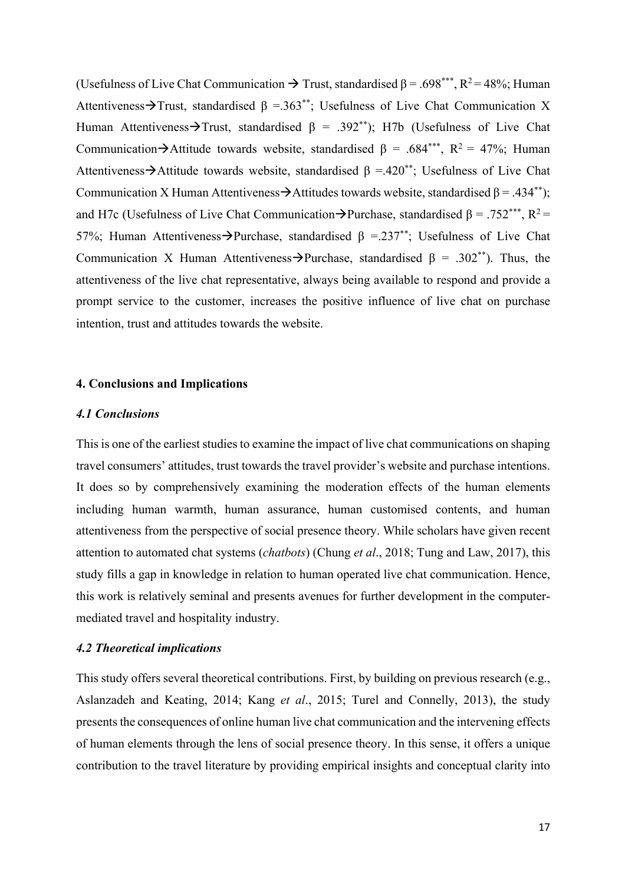(Usefulness of Live Chat Communication  $\rightarrow$  Trust, standardised  $\beta$  = .698\*\*\*, R<sup>2</sup> = 48%; Human Attentiveness $\rightarrow$ Trust, standardised β =.363<sup>\*\*</sup>; Usefulness of Live Chat Communication X Human Attentiveness $\rightarrow$ Trust, standardised  $\beta = .392^{**}$ ); H7b (Usefulness of Live Chat Communication $\rightarrow$ Attitude towards website, standardised β = .684\*\*\*, R<sup>2</sup> = 47%; Human Attentiveness $\rightarrow$ Attitude towards website, standardised  $\beta = .420^{**}$ ; Usefulness of Live Chat Communication X Human Attentiveness $\rightarrow$  Attitudes towards website, standardised β = .434<sup>\*\*</sup>); and H7c (Usefulness of Live Chat Communication $\rightarrow$ Purchase, standardised β = .752\*\*\*, R<sup>2</sup> = 57%; Human Attentiveness $\rightarrow$ Purchase, standardised β =.237<sup>\*\*</sup>; Usefulness of Live Chat Communication X Human Attentiveness $\rightarrow$ Purchase, standardised  $\beta = .302^{**}$ ). Thus, the attentiveness of the live chat representative, always being available to respond and provide a prompt service to the customer, increases the positive influence of live chat on purchase intention, trust and attitudes towards the website.

#### **4. Conclusions and Implications**

### *4.1 Conclusions*

This is one of the earliest studies to examine the impact of live chat communications on shaping travel consumers' attitudes, trust towards the travel provider's website and purchase intentions. It does so by comprehensively examining the moderation effects of the human elements including human warmth, human assurance, human customised contents, and human attentiveness from the perspective of social presence theory. While scholars have given recent attention to automated chat systems (*chatbots*) (Chung *et al*., 2018; Tung and Law, 2017), this study fills a gap in knowledge in relation to human operated live chat communication. Hence, this work is relatively seminal and presents avenues for further development in the computermediated travel and hospitality industry.

### *4.2 Theoretical implications*

This study offers several theoretical contributions. First, by building on previous research (e.g., Aslanzadeh and Keating, 2014; Kang *et al*., 2015; Turel and Connelly, 2013), the study presents the consequences of online human live chat communication and the intervening effects of human elements through the lens of social presence theory. In this sense, it offers a unique contribution to the travel literature by providing empirical insights and conceptual clarity into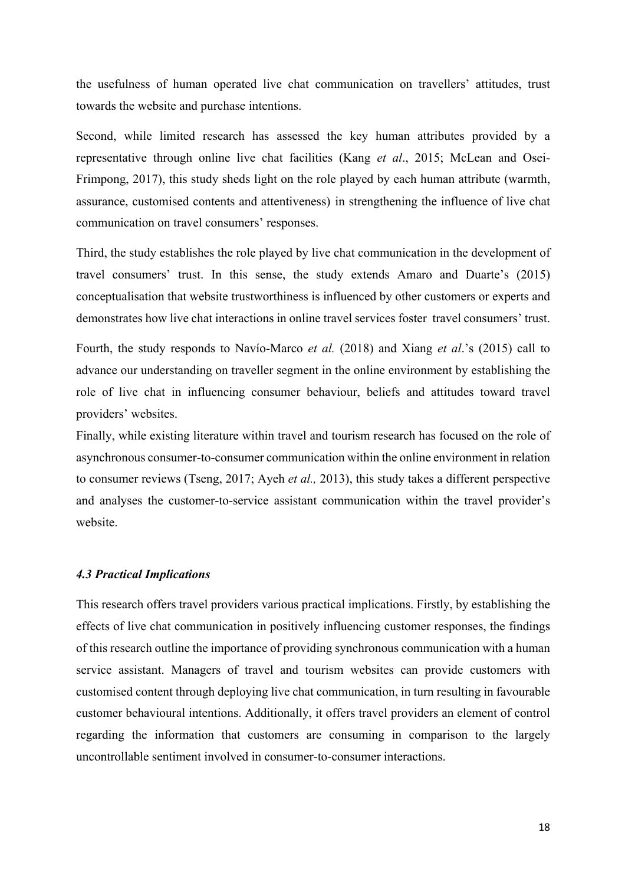the usefulness of human operated live chat communication on travellers' attitudes, trust towards the website and purchase intentions.

Second, while limited research has assessed the key human attributes provided by a representative through online live chat facilities (Kang *et al*., 2015; McLean and Osei-Frimpong, 2017), this study sheds light on the role played by each human attribute (warmth, assurance, customised contents and attentiveness) in strengthening the influence of live chat communication on travel consumers' responses.

Third, the study establishes the role played by live chat communication in the development of travel consumers' trust. In this sense, the study extends Amaro and Duarte's (2015) conceptualisation that website trustworthiness is influenced by other customers or experts and demonstrates how live chat interactions in online travel services foster travel consumers' trust.

Fourth, the study responds to Navío-Marco *et al.* (2018) and Xiang *et al*.'s (2015) call to advance our understanding on traveller segment in the online environment by establishing the role of live chat in influencing consumer behaviour, beliefs and attitudes toward travel providers' websites.

Finally, while existing literature within travel and tourism research has focused on the role of asynchronous consumer-to-consumer communication within the online environment in relation to consumer reviews (Tseng, 2017; Ayeh *et al.,* 2013), this study takes a different perspective and analyses the customer-to-service assistant communication within the travel provider's website.

### *4.3 Practical Implications*

This research offers travel providers various practical implications. Firstly, by establishing the effects of live chat communication in positively influencing customer responses, the findings of this research outline the importance of providing synchronous communication with a human service assistant. Managers of travel and tourism websites can provide customers with customised content through deploying live chat communication, in turn resulting in favourable customer behavioural intentions. Additionally, it offers travel providers an element of control regarding the information that customers are consuming in comparison to the largely uncontrollable sentiment involved in consumer-to-consumer interactions.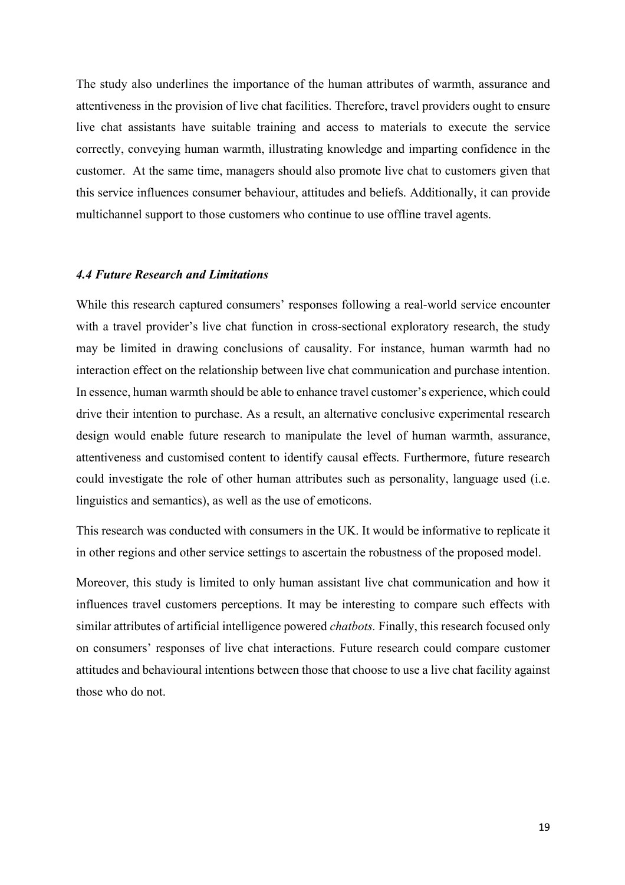The study also underlines the importance of the human attributes of warmth, assurance and attentiveness in the provision of live chat facilities. Therefore, travel providers ought to ensure live chat assistants have suitable training and access to materials to execute the service correctly, conveying human warmth, illustrating knowledge and imparting confidence in the customer. At the same time, managers should also promote live chat to customers given that this service influences consumer behaviour, attitudes and beliefs. Additionally, it can provide multichannel support to those customers who continue to use offline travel agents.

### *4.4 Future Research and Limitations*

While this research captured consumers' responses following a real-world service encounter with a travel provider's live chat function in cross-sectional exploratory research, the study may be limited in drawing conclusions of causality. For instance, human warmth had no interaction effect on the relationship between live chat communication and purchase intention. In essence, human warmth should be able to enhance travel customer's experience, which could drive their intention to purchase. As a result, an alternative conclusive experimental research design would enable future research to manipulate the level of human warmth, assurance, attentiveness and customised content to identify causal effects. Furthermore, future research could investigate the role of other human attributes such as personality, language used (i.e. linguistics and semantics), as well as the use of emoticons.

This research was conducted with consumers in the UK. It would be informative to replicate it in other regions and other service settings to ascertain the robustness of the proposed model.

Moreover, this study is limited to only human assistant live chat communication and how it influences travel customers perceptions. It may be interesting to compare such effects with similar attributes of artificial intelligence powered *chatbots.* Finally, this research focused only on consumers' responses of live chat interactions. Future research could compare customer attitudes and behavioural intentions between those that choose to use a live chat facility against those who do not.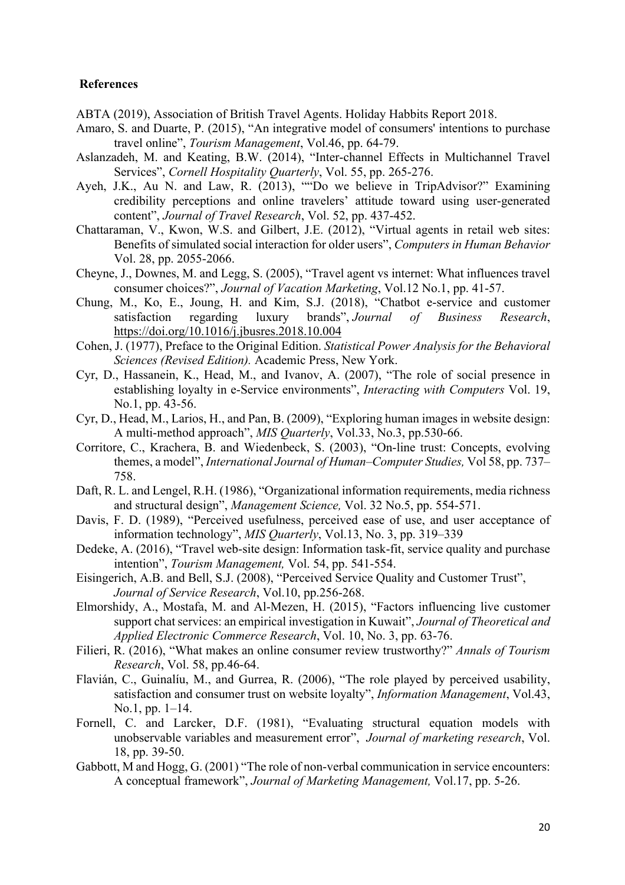#### **References**

ABTA (2019), Association of British Travel Agents. Holiday Habbits Report 2018.

- Amaro, S. and Duarte, P. (2015), "An integrative model of consumers' intentions to purchase travel online", *Tourism Management*, Vol.46, pp. 64-79.
- Aslanzadeh, M. and Keating, B.W. (2014), "Inter-channel Effects in Multichannel Travel Services", *Cornell Hospitality Quarterly*, Vol. 55, pp. 265-276.
- Ayeh, J.K., Au N. and Law, R. (2013), ""Do we believe in TripAdvisor?" Examining credibility perceptions and online travelers' attitude toward using user-generated content", *Journal of Travel Research*, Vol. 52, pp. 437-452.
- Chattaraman, V., Kwon, W.S. and Gilbert, J.E. (2012), "Virtual agents in retail web sites: Benefits of simulated social interaction for older users", *Computers in Human Behavior*  Vol. 28, pp. 2055-2066.
- Cheyne, J., Downes, M. and Legg, S. (2005), "Travel agent vs internet: What influences travel consumer choices?", *Journal of Vacation Marketing*, Vol.12 No.1, pp. 41-57.
- Chung, M., Ko, E., Joung, H. and Kim, S.J. (2018), "Chatbot e-service and customer satisfaction regarding luxury brands", *Journal of Business Research*, https://doi.org/10.1016/j.jbusres.2018.10.004
- Cohen, J. (1977), Preface to the Original Edition. *Statistical Power Analysis for the Behavioral Sciences (Revised Edition).* Academic Press, New York.
- Cyr, D., Hassanein, K., Head, M., and Ivanov, A. (2007), "The role of social presence in establishing loyalty in e-Service environments", *Interacting with Computers* Vol. 19, No.1, pp. 43-56.
- Cyr, D., Head, M., Larios, H., and Pan, B. (2009), "Exploring human images in website design: A multi-method approach", *MIS Quarterly*, Vol.33, No.3, pp.530-66.
- Corritore, C., Krachera, B. and Wiedenbeck, S. (2003), "On-line trust: Concepts, evolving themes, a model", *International Journal of Human–Computer Studies,* Vol 58, pp. 737– 758.
- Daft, R. L. and Lengel, R.H. (1986), "Organizational information requirements, media richness and structural design", *Management Science,* Vol. 32 No.5, pp. 554-571.
- Davis, F. D. (1989), "Perceived usefulness, perceived ease of use, and user acceptance of information technology", *MIS Quarterly*, Vol.13, No. 3, pp. 319–339
- Dedeke, A. (2016), "Travel web-site design: Information task-fit, service quality and purchase intention", *Tourism Management,* Vol. 54, pp. 541-554.
- Eisingerich, A.B. and Bell, S.J. (2008), "Perceived Service Quality and Customer Trust", *Journal of Service Research*, Vol.10, pp.256-268.
- Elmorshidy, A., Mostafa, M. and Al-Mezen, H. (2015), "Factors influencing live customer support chat services: an empirical investigation in Kuwait", *Journal of Theoretical and Applied Electronic Commerce Research*, Vol. 10, No. 3, pp. 63-76.
- Filieri, R. (2016), "What makes an online consumer review trustworthy?" *Annals of Tourism Research*, Vol. 58, pp.46-64.
- Flavián, C., Guinalíu, M., and Gurrea, R. (2006), "The role played by perceived usability, satisfaction and consumer trust on website loyalty", *Information Management*, Vol.43, No.1, pp. 1–14.
- Fornell, C. and Larcker, D.F. (1981), "Evaluating structural equation models with unobservable variables and measurement error", *Journal of marketing research*, Vol. 18, pp. 39-50.
- Gabbott, M and Hogg, G. (2001) "The role of non-verbal communication in service encounters: A conceptual framework", *Journal of Marketing Management,* Vol.17, pp. 5-26.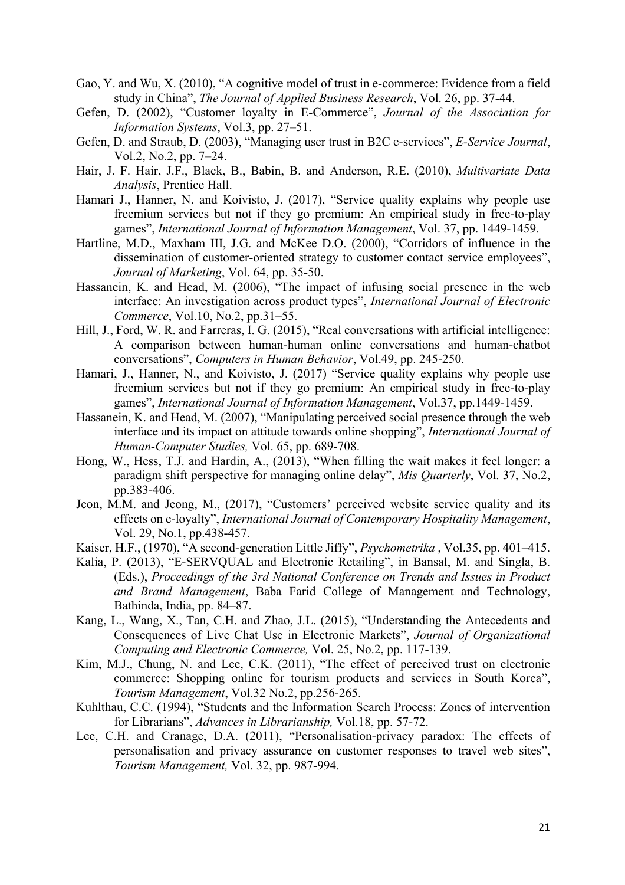- Gao, Y. and Wu, X. (2010), "A cognitive model of trust in e-commerce: Evidence from a field study in China", *The Journal of Applied Business Research*, Vol. 26, pp. 37-44.
- Gefen, D. (2002), "Customer loyalty in E-Commerce", *Journal of the Association for Information Systems*, Vol.3, pp. 27–51.
- Gefen, D. and Straub, D. (2003), "Managing user trust in B2C e-services", *E-Service Journal*, Vol.2, No.2, pp. 7–24.
- Hair, J. F. Hair, J.F., Black, B., Babin, B. and Anderson, R.E. (2010), *Multivariate Data Analysis*, Prentice Hall.
- Hamari J., Hanner, N. and Koivisto, J. (2017), "Service quality explains why people use freemium services but not if they go premium: An empirical study in free-to-play games", *International Journal of Information Management*, Vol. 37, pp. 1449-1459.
- Hartline, M.D., Maxham III, J.G. and McKee D.O. (2000), "Corridors of influence in the dissemination of customer-oriented strategy to customer contact service employees", *Journal of Marketing*, Vol. 64, pp. 35-50.
- Hassanein, K. and Head, M. (2006), "The impact of infusing social presence in the web interface: An investigation across product types", *International Journal of Electronic Commerce*, Vol.10, No.2, pp.31–55.
- Hill, J., Ford, W. R. and Farreras, I. G. (2015), "Real conversations with artificial intelligence: A comparison between human-human online conversations and human-chatbot conversations", *Computers in Human Behavior*, Vol.49, pp. 245-250.
- Hamari, J., Hanner, N., and Koivisto, J. (2017) "Service quality explains why people use freemium services but not if they go premium: An empirical study in free-to-play games", *International Journal of Information Management*, Vol.37, pp.1449-1459.
- Hassanein, K. and Head, M. (2007), "Manipulating perceived social presence through the web interface and its impact on attitude towards online shopping", *International Journal of Human-Computer Studies,* Vol. 65, pp. 689-708.
- Hong, W., Hess, T.J. and Hardin, A., (2013), "When filling the wait makes it feel longer: a paradigm shift perspective for managing online delay", *Mis Quarterly*, Vol. 37, No.2, pp.383-406.
- Jeon, M.M. and Jeong, M., (2017), "Customers' perceived website service quality and its effects on e-loyalty", *International Journal of Contemporary Hospitality Management*, Vol. 29, No.1, pp.438-457.
- Kaiser, H.F., (1970), "A second-generation Little Jiffy", *Psychometrika* , Vol.35, pp. 401–415.
- Kalia, P. (2013), "E-SERVQUAL and Electronic Retailing", in Bansal, M. and Singla, B. (Eds.), *Proceedings of the 3rd National Conference on Trends and Issues in Product and Brand Management*, Baba Farid College of Management and Technology, Bathinda, India, pp. 84–87.
- Kang, L., Wang, X., Tan, C.H. and Zhao, J.L. (2015), "Understanding the Antecedents and Consequences of Live Chat Use in Electronic Markets", *Journal of Organizational Computing and Electronic Commerce,* Vol. 25, No.2, pp. 117-139.
- Kim, M.J., Chung, N. and Lee, C.K. (2011), "The effect of perceived trust on electronic commerce: Shopping online for tourism products and services in South Korea", *Tourism Management*, Vol.32 No.2, pp.256-265.
- Kuhlthau, C.C. (1994), "Students and the Information Search Process: Zones of intervention for Librarians", *Advances in Librarianship,* Vol.18, pp. 57-72.
- Lee, C.H. and Cranage, D.A. (2011), "Personalisation-privacy paradox: The effects of personalisation and privacy assurance on customer responses to travel web sites", *Tourism Management,* Vol. 32, pp. 987-994.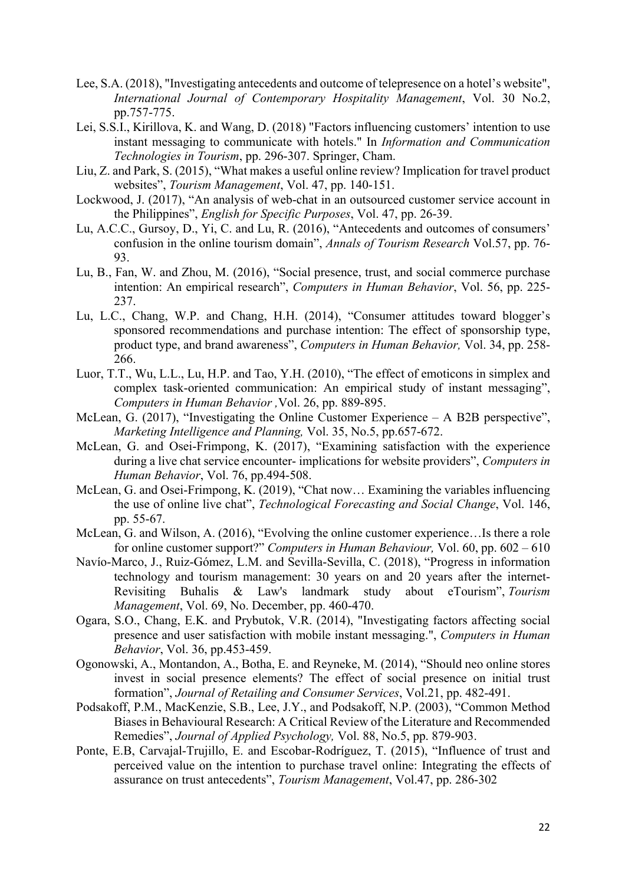- Lee, S.A. (2018), "Investigating antecedents and outcome of telepresence on a hotel's website", *International Journal of Contemporary Hospitality Management*, Vol. 30 No.2, pp.757-775.
- Lei, S.S.I., Kirillova, K. and Wang, D. (2018) "Factors influencing customers' intention to use instant messaging to communicate with hotels." In *Information and Communication Technologies in Tourism*, pp. 296-307. Springer, Cham.
- Liu, Z. and Park, S. (2015), "What makes a useful online review? Implication for travel product websites", *Tourism Management*, Vol. 47, pp. 140-151.
- Lockwood, J. (2017), "An analysis of web-chat in an outsourced customer service account in the Philippines", *English for Specific Purposes*, Vol. 47, pp. 26-39.
- Lu, A.C.C., Gursoy, D., Yi, C. and Lu, R. (2016), "Antecedents and outcomes of consumers' confusion in the online tourism domain", *Annals of Tourism Research* Vol.57, pp. 76- 93.
- Lu, B., Fan, W. and Zhou, M. (2016), "Social presence, trust, and social commerce purchase intention: An empirical research", *Computers in Human Behavior*, Vol. 56, pp. 225- 237.
- Lu, L.C., Chang, W.P. and Chang, H.H. (2014), "Consumer attitudes toward blogger's sponsored recommendations and purchase intention: The effect of sponsorship type, product type, and brand awareness", *Computers in Human Behavior,* Vol. 34, pp. 258- 266.
- Luor, T.T., Wu, L.L., Lu, H.P. and Tao, Y.H. (2010), "The effect of emoticons in simplex and complex task-oriented communication: An empirical study of instant messaging", *Computers in Human Behavior ,*Vol. 26, pp. 889-895.
- McLean, G. (2017), "Investigating the Online Customer Experience A B2B perspective", *Marketing Intelligence and Planning,* Vol. 35, No.5, pp.657-672.
- McLean, G. and Osei-Frimpong, K. (2017), "Examining satisfaction with the experience during a live chat service encounter- implications for website providers", *Computers in Human Behavior*, Vol. 76, pp.494-508.
- McLean, G. and Osei-Frimpong, K. (2019), "Chat now… Examining the variables influencing the use of online live chat", *Technological Forecasting and Social Change*, Vol. 146, pp. 55-67.
- McLean, G. and Wilson, A. (2016), "Evolving the online customer experience…Is there a role for online customer support?" *Computers in Human Behaviour,* Vol. 60, pp. 602 – 610
- Navío-Marco, J., Ruiz-Gómez, L.M. and Sevilla-Sevilla, C. (2018), "Progress in information technology and tourism management: 30 years on and 20 years after the internet-Revisiting Buhalis & Law's landmark study about eTourism", *Tourism Management*, Vol. 69, No. December, pp. 460-470.
- Ogara, S.O., Chang, E.K. and Prybutok, V.R. (2014), "Investigating factors affecting social presence and user satisfaction with mobile instant messaging.", *Computers in Human Behavior*, Vol. 36, pp.453-459.
- Ogonowski, A., Montandon, A., Botha, E. and Reyneke, M. (2014), "Should neo online stores invest in social presence elements? The effect of social presence on initial trust formation", *Journal of Retailing and Consumer Services*, Vol.21, pp. 482-491.
- Podsakoff, P.M., MacKenzie, S.B., Lee, J.Y., and Podsakoff, N.P. (2003), "Common Method Biases in Behavioural Research: A Critical Review of the Literature and Recommended Remedies", *Journal of Applied Psychology,* Vol. 88, No.5, pp. 879-903.
- Ponte, E.B, Carvajal-Trujillo, E. and Escobar-Rodríguez, T. (2015), "Influence of trust and perceived value on the intention to purchase travel online: Integrating the effects of assurance on trust antecedents", *Tourism Management*, Vol.47, pp. 286-302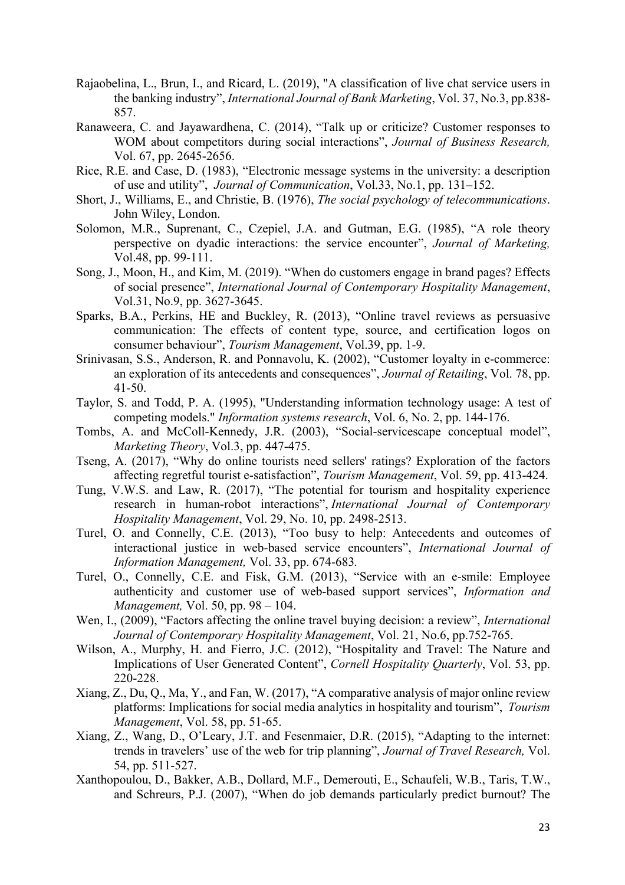- Rajaobelina, L., Brun, I., and Ricard, L. (2019), "A classification of live chat service users in the banking industry", *International Journal of Bank Marketing*, Vol. 37, No.3, pp.838- 857.
- Ranaweera, C. and Jayawardhena, C. (2014), "Talk up or criticize? Customer responses to WOM about competitors during social interactions", *Journal of Business Research,* Vol. 67, pp. 2645-2656.
- Rice, R.E. and Case, D. (1983), "Electronic message systems in the university: a description of use and utility", *Journal of Communication*, Vol.33, No.1, pp. 131–152.
- Short, J., Williams, E., and Christie, B. (1976), *The social psychology of telecommunications*. John Wiley, London.
- Solomon, M.R., Suprenant, C., Czepiel, J.A. and Gutman, E.G. (1985), "A role theory perspective on dyadic interactions: the service encounter", *Journal of Marketing,* Vol.48, pp. 99-111.
- Song, J., Moon, H., and Kim, M. (2019). "When do customers engage in brand pages? Effects of social presence", *International Journal of Contemporary Hospitality Management*, Vol.31, No.9, pp. 3627-3645.
- Sparks, B.A., Perkins, HE and Buckley, R. (2013), "Online travel reviews as persuasive communication: The effects of content type, source, and certification logos on consumer behaviour", *Tourism Management*, Vol.39, pp. 1-9.
- Srinivasan, S.S., Anderson, R. and Ponnavolu, K. (2002), "Customer loyalty in e-commerce: an exploration of its antecedents and consequences", *Journal of Retailing*, Vol. 78, pp. 41-50.
- Taylor, S. and Todd, P. A. (1995), "Understanding information technology usage: A test of competing models." *Information systems research*, Vol. 6, No. 2, pp. 144-176.
- Tombs, A. and McColl-Kennedy, J.R. (2003), "Social-servicescape conceptual model", *Marketing Theory*, Vol.3, pp. 447-475.
- Tseng, A. (2017), "Why do online tourists need sellers' ratings? Exploration of the factors affecting regretful tourist e-satisfaction", *Tourism Management*, Vol. 59, pp. 413-424.
- Tung, V.W.S. and Law, R. (2017), "The potential for tourism and hospitality experience research in human-robot interactions", *International Journal of Contemporary Hospitality Management*, Vol. 29, No. 10, pp. 2498-2513.
- Turel, O. and Connelly, C.E. (2013), "Too busy to help: Antecedents and outcomes of interactional justice in web-based service encounters", *International Journal of Information Management,* Vol. 33, pp. 674-683*.*
- Turel, O., Connelly, C.E. and Fisk, G.M. (2013), "Service with an e-smile: Employee authenticity and customer use of web-based support services", *Information and Management,* Vol. 50, pp. 98 – 104.
- Wen, I., (2009), "Factors affecting the online travel buying decision: a review", *International Journal of Contemporary Hospitality Management*, Vol. 21, No.6, pp.752-765.
- Wilson, A., Murphy, H. and Fierro, J.C. (2012), "Hospitality and Travel: The Nature and Implications of User Generated Content", *Cornell Hospitality Quarterly*, Vol. 53, pp. 220-228.
- Xiang, Z., Du, Q., Ma, Y., and Fan, W. (2017), "A comparative analysis of major online review platforms: Implications for social media analytics in hospitality and tourism", *Tourism Management*, Vol. 58, pp. 51-65.
- Xiang, Z., Wang, D., O'Leary, J.T. and Fesenmaier, D.R. (2015), "Adapting to the internet: trends in travelers' use of the web for trip planning", *Journal of Travel Research,* Vol. 54, pp. 511-527.
- Xanthopoulou, D., Bakker, A.B., Dollard, M.F., Demerouti, E., Schaufeli, W.B., Taris, T.W., and Schreurs, P.J. (2007), "When do job demands particularly predict burnout? The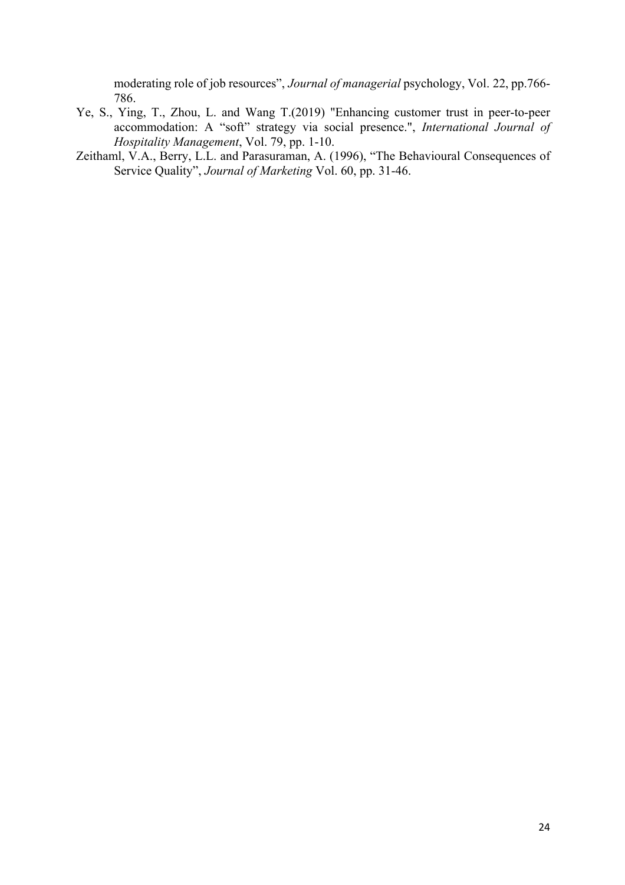moderating role of job resources", *Journal of managerial* psychology, Vol. 22, pp.766- 786.

- Ye, S., Ying, T., Zhou, L. and Wang T.(2019) "Enhancing customer trust in peer-to-peer accommodation: A "soft" strategy via social presence.", *International Journal of Hospitality Management*, Vol. 79, pp. 1-10.
- Zeithaml, V.A., Berry, L.L. and Parasuraman, A. (1996), "The Behavioural Consequences of Service Quality", *Journal of Marketing* Vol. 60, pp. 31-46.